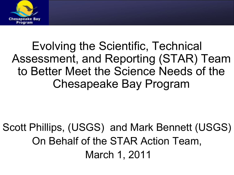

Evolving the Scientific, Technical Assessment, and Reporting (STAR) Team to Better Meet the Science Needs of the Chesapeake Bay Program

Scott Phillips, (USGS) and Mark Bennett (USGS) On Behalf of the STAR Action Team, March 1, 2011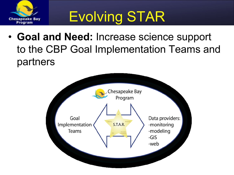

# Evolving STAR

• **Goal and Need:** Increase science support to the CBP Goal Implementation Teams and partners

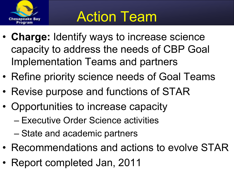

- **Charge:** Identify ways to increase science capacity to address the needs of CBP Goal Implementation Teams and partners
- Refine priority science needs of Goal Teams
- Revise purpose and functions of STAR
- Opportunities to increase capacity
	- Executive Order Science activities
	- State and academic partners
- Recommendations and actions to evolve STAR
- Report completed Jan, 2011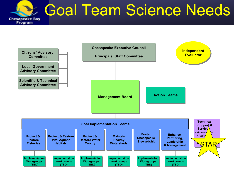

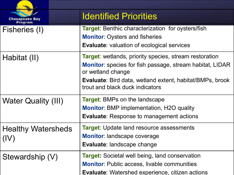| <b>Chesapeake Bay</b><br>Program | <b>Identified Priorities</b>                                                                                                                                                                                                                                 |
|----------------------------------|--------------------------------------------------------------------------------------------------------------------------------------------------------------------------------------------------------------------------------------------------------------|
| Fisheries (I)                    | <b>Target:</b> Benthic characterization for oysters/fish<br><b>Monitor: Oysters and fisheries</b><br><b>Evaluate:</b> valuation of ecological services                                                                                                       |
| Habitat (II)                     | <b>Target:</b> wetlands, priority species, stream restoration<br><b>Monitor</b> : species for fish passage, stream habitat, LIDAR<br>or wetland change<br><b>Evaluate:</b> Bird data, wetland extent, habitat/BMPs, brook<br>trout and black duck indicators |
| <b>Water Quality (III)</b>       | <b>Target:</b> BMPs on the landscape<br><b>Monitor:</b> BMP implementation, H2O quality<br><b>Evaluate:</b> Response to management actions                                                                                                                   |
| <b>Healthy Watersheds</b>        | <b>Target:</b> Update land resource assessments<br><b>Monitor:</b> landscape coverage<br><b>Evaluate:</b> landscape change                                                                                                                                   |
| Stewardship (V)                  | <b>Target:</b> Societal well being, land conservation<br><b>Monitor:</b> Public access, livable communities<br><b>Evaluate:</b> Watershed experience, citizen actions                                                                                        |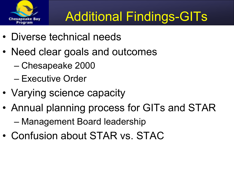

### Additional Findings-GITs

- Diverse technical needs
- Need clear goals and outcomes
	- Chesapeake 2000
	- Executive Order
- Varying science capacity
- Annual planning process for GITs and STAR – Management Board leadership
- Confusion about STAR vs. STAC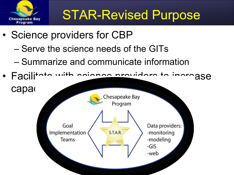

### STAR-Revised Purpose

- Science providers for CBP
	- Serve the science needs of the GITs
	- Summarize and communicate information
- Facilitate with enjoyed providers to increase

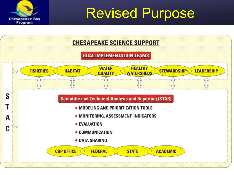

Revised Purpose

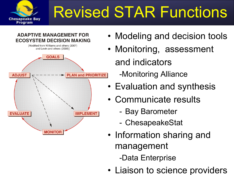

# Revised STAR Functions

#### **ADAPTIVE MANAGEMENT FOR ECOSYSTEM DECISION MAKING**



- Modeling and decision tools
- Monitoring, assessment and indicators -Monitoring Alliance
- Evaluation and synthesis
- Communicate results
	- Bay Barometer
	- ChesapeakeStat
- Information sharing and management -Data Enterprise
- Liaison to science providers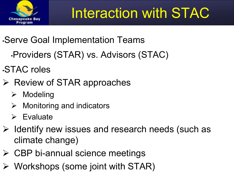

## Interaction with STAC

- •Serve Goal Implementation Teams
	- •Providers (STAR) vs. Advisors (STAC)
- •STAC roles
- $\triangleright$  Review of STAR approaches
	- $\triangleright$  Modeling
	- $\triangleright$  Monitoring and indicators
	- $\triangleright$  Evaluate
- $\triangleright$  Identify new issues and research needs (such as climate change)
- $\triangleright$  CBP bi-annual science meetings
- $\triangleright$  Workshops (some joint with STAR)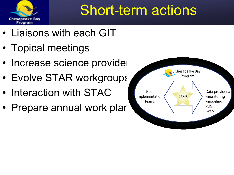

## Short-term actions

- Liaisons with each GIT
- Topical meetings
- Increase science provider
- Evolve STAR workgroups
- Interaction with STAC
- Prepare annual work plar

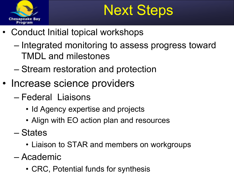

## Next Steps

- Conduct Initial topical workshops
	- Integrated monitoring to assess progress toward TMDL and milestones
	- Stream restoration and protection
- Increase science providers
	- Federal Liaisons
		- Id Agency expertise and projects
		- Align with EO action plan and resources
	- States
		- Liaison to STAR and members on workgroups
	- Academic
		- CRC, Potential funds for synthesis